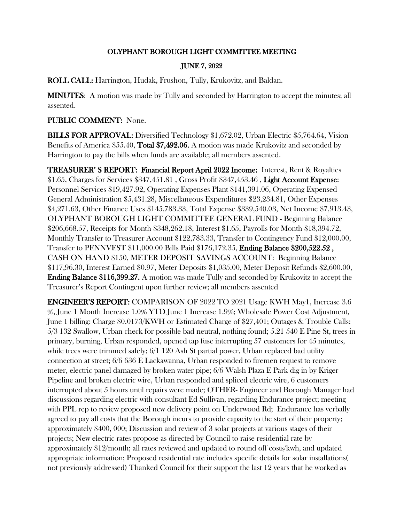## OLYPHANT BOROUGH LIGHT COMMITTEE MEETING

## JUNE 7, 2022

ROLL CALL: Harrington, Hudak, Frushon, Tully, Krukovitz, and Baldan.

MINUTES: A motion was made by Tully and seconded by Harrington to accept the minutes; all assented.

## PUBLIC COMMENT: None.

BILLS FOR APPROVAL: Diversified Technology \$1,672.02, Urban Electric \$5,764.64, Vision Benefits of America \$55.40, Total \$7,492.06. A motion was made Krukovitz and seconded by Harrington to pay the bills when funds are available; all members assented.

TREASURER' S REPORT: Financial Report April 2022 Income: Interest, Rent & Royalties \$1.65, Charges for Services \$347,451.81 , Gross Profit \$347,453.46 , Light Account Expense: Personnel Services \$19,427.92, Operating Expenses Plant \$141,391.06, Operating Expensed General Administration \$5,431.28, Miscellaneous Expenditures \$23,234.81, Other Expenses \$4,271.63, Other Finance Uses \$145,783.33, Total Expense \$339,540.03, Net Income \$7,913.43, OLYPHANT BOROUGH LIGHT COMMITTEE GENERAL FUND - Beginning Balance \$206,668.57, Receipts for Month \$348,262.18, Interest \$1.65, Payrolls for Month \$18,394.72, Monthly Transfer to Treasurer Account \$122,783.33, Transfer to Contingency Fund \$12,000.00, Transfer to PENNVEST \$11,000.00 Bills Paid \$176,172.35, Ending Balance \$200,522.52 , CASH ON HAND \$150, METER DEPOSIT SAVINGS ACCOUNT: Beginning Balance \$117,96.30, Interest Earned \$0.97, Meter Deposits \$1,035.00, Meter Deposit Refunds \$2,600.00, Ending Balance \$116,399.27. A motion was made Tully and seconded by Krukovitz to accept the Treasurer's Report Contingent upon further review; all members assented

ENGINEER'S REPORT: COMPARISON OF 2022 TO 2021 Usage KWH May1, Increase 3.6 %, June 1 Month Increase 1.0% YTD June 1 Increase 1.9%; Wholesale Power Cost Adjustment, June 1 billing: Charge \$0.0173/KWH or Estimated Charge of \$27,401; Outages & Trouble Calls: 5/3 132 Swallow, Urban check for possible bad neutral, nothing found; 5.21 540 E Pine St, trees in primary, burning, Urban responded, opened tap fuse interrupting 57 customers for 45 minutes, while trees were trimmed safely;  $6/1 120$  Ash St partial power, Urban replaced bad utility connection at street; 6/6 636 E Lackawanna, Urban responded to firemen request to remove meter, electric panel damaged by broken water pipe; 6/6 Walsh Plaza E Park dig in by Kriger Pipeline and broken electric wire, Urban responded and spliced electric wire, 6 customers interrupted about 5 hours until repairs were made; OTHER- Engineer and Borough Manager had discussions regarding electric with consultant Ed Sullivan, regarding Endurance project; meeting with PPL rep to review proposed new delivery point on Underwood Rd; Endurance has verbally agreed to pay all costs that the Borough incurs to provide capacity to the start of their property; approximately \$400, 000; Discussion and review of 3 solar projects at various stages of their projects; New electric rates propose as directed by Council to raise residential rate by approximately \$12/month; all rates reviewed and updated to round off costs/kwh, and updated appropriate information; Proposed residential rate includes specific details for solar installations( not previously addressed) Thanked Council for their support the last 12 years that he worked as